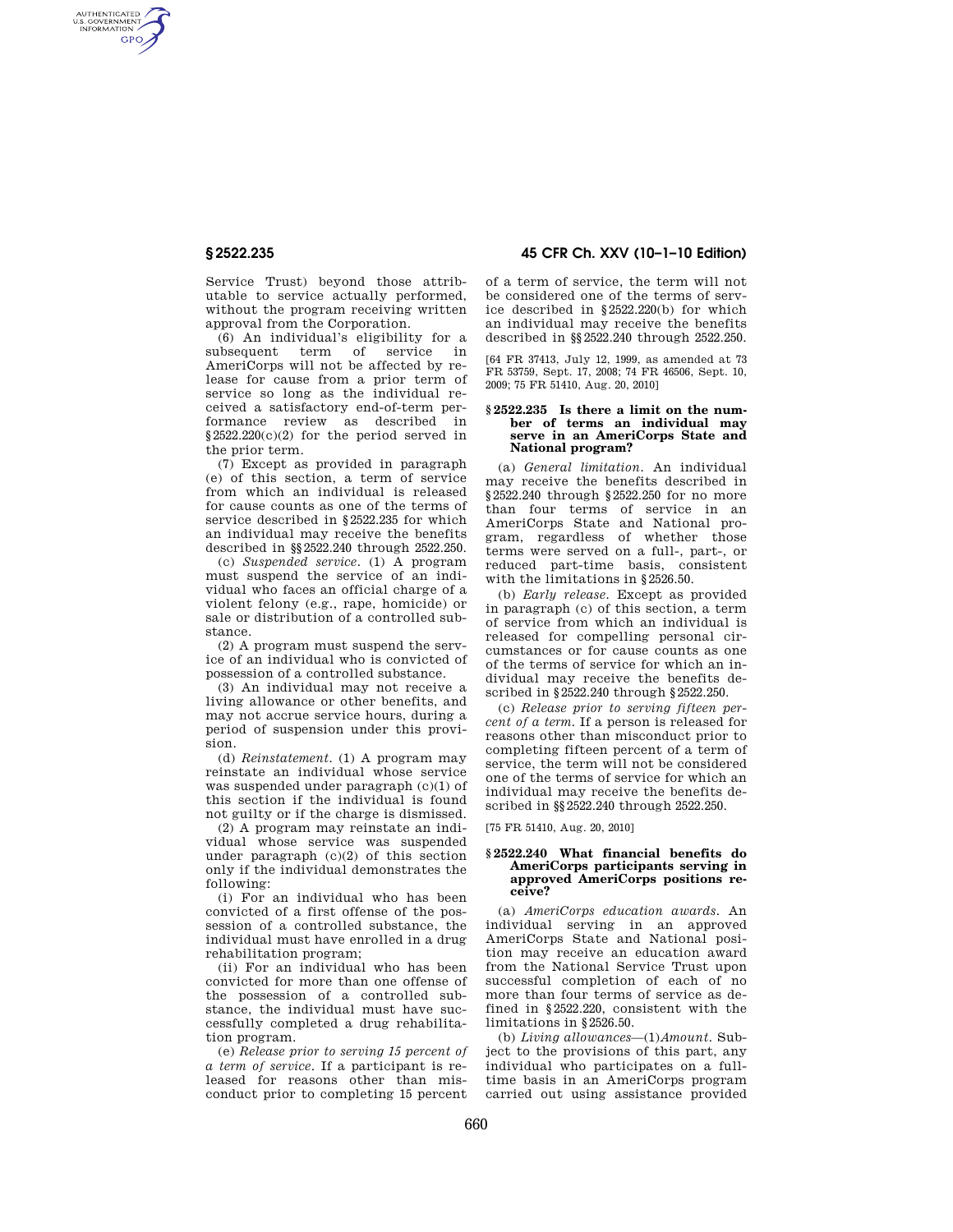AUTHENTICATED<br>U.S. GOVERNMENT<br>INFORMATION **GPO** 

> Service Trust) beyond those attributable to service actually performed, without the program receiving written approval from the Corporation.

> (6) An individual's eligibility for a subsequent term of service in AmeriCorps will not be affected by release for cause from a prior term of service so long as the individual received a satisfactory end-of-term performance review as described in  $§2522.220(c)(2)$  for the period served in the prior term.

> (7) Except as provided in paragraph (e) of this section, a term of service from which an individual is released for cause counts as one of the terms of service described in §2522.235 for which an individual may receive the benefits described in §§2522.240 through 2522.250.

> (c) *Suspended service.* (1) A program must suspend the service of an individual who faces an official charge of a violent felony (e.g., rape, homicide) or sale or distribution of a controlled substance.

(2) A program must suspend the service of an individual who is convicted of possession of a controlled substance.

(3) An individual may not receive a living allowance or other benefits, and may not accrue service hours, during a period of suspension under this provision.

(d) *Reinstatement.* (1) A program may reinstate an individual whose service was suspended under paragraph (c)(1) of this section if the individual is found not guilty or if the charge is dismissed.

(2) A program may reinstate an individual whose service was suspended under paragraph (c)(2) of this section only if the individual demonstrates the following:

(i) For an individual who has been convicted of a first offense of the possession of a controlled substance, the individual must have enrolled in a drug rehabilitation program;

(ii) For an individual who has been convicted for more than one offense of the possession of a controlled substance, the individual must have successfully completed a drug rehabilitation program.

(e) *Release prior to serving 15 percent of a term of service*. If a participant is released for reasons other than misconduct prior to completing 15 percent

**§ 2522.235 45 CFR Ch. XXV (10–1–10 Edition)** 

of a term of service, the term will not be considered one of the terms of service described in §2522.220(b) for which an individual may receive the benefits described in §§2522.240 through 2522.250.

[64 FR 37413, July 12, 1999, as amended at 73 FR 53759, Sept. 17, 2008; 74 FR 46506, Sept. 10, 2009; 75 FR 51410, Aug. 20, 2010]

### **§ 2522.235 Is there a limit on the number of terms an individual may serve in an AmeriCorps State and National program?**

(a) *General limitation.* An individual may receive the benefits described in §2522.240 through §2522.250 for no more than four terms of service in an AmeriCorps State and National program, regardless of whether those terms were served on a full-, part-, or reduced part-time basis, consistent with the limitations in §2526.50.

(b) *Early release.* Except as provided in paragraph (c) of this section, a term of service from which an individual is released for compelling personal circumstances or for cause counts as one of the terms of service for which an individual may receive the benefits described in §2522.240 through §2522.250.

(c) *Release prior to serving fifteen percent of a term.* If a person is released for reasons other than misconduct prior to completing fifteen percent of a term of service, the term will not be considered one of the terms of service for which an individual may receive the benefits described in §§2522.240 through 2522.250.

[75 FR 51410, Aug. 20, 2010]

## **§ 2522.240 What financial benefits do AmeriCorps participants serving in approved AmeriCorps positions receive?**

(a) *AmeriCorps education awards.* An individual serving in an approved AmeriCorps State and National position may receive an education award from the National Service Trust upon successful completion of each of no more than four terms of service as defined in §2522.220, consistent with the limitations in §2526.50.

(b) *Living allowances*—(1)*Amount.* Subject to the provisions of this part, any individual who participates on a fulltime basis in an AmeriCorps program carried out using assistance provided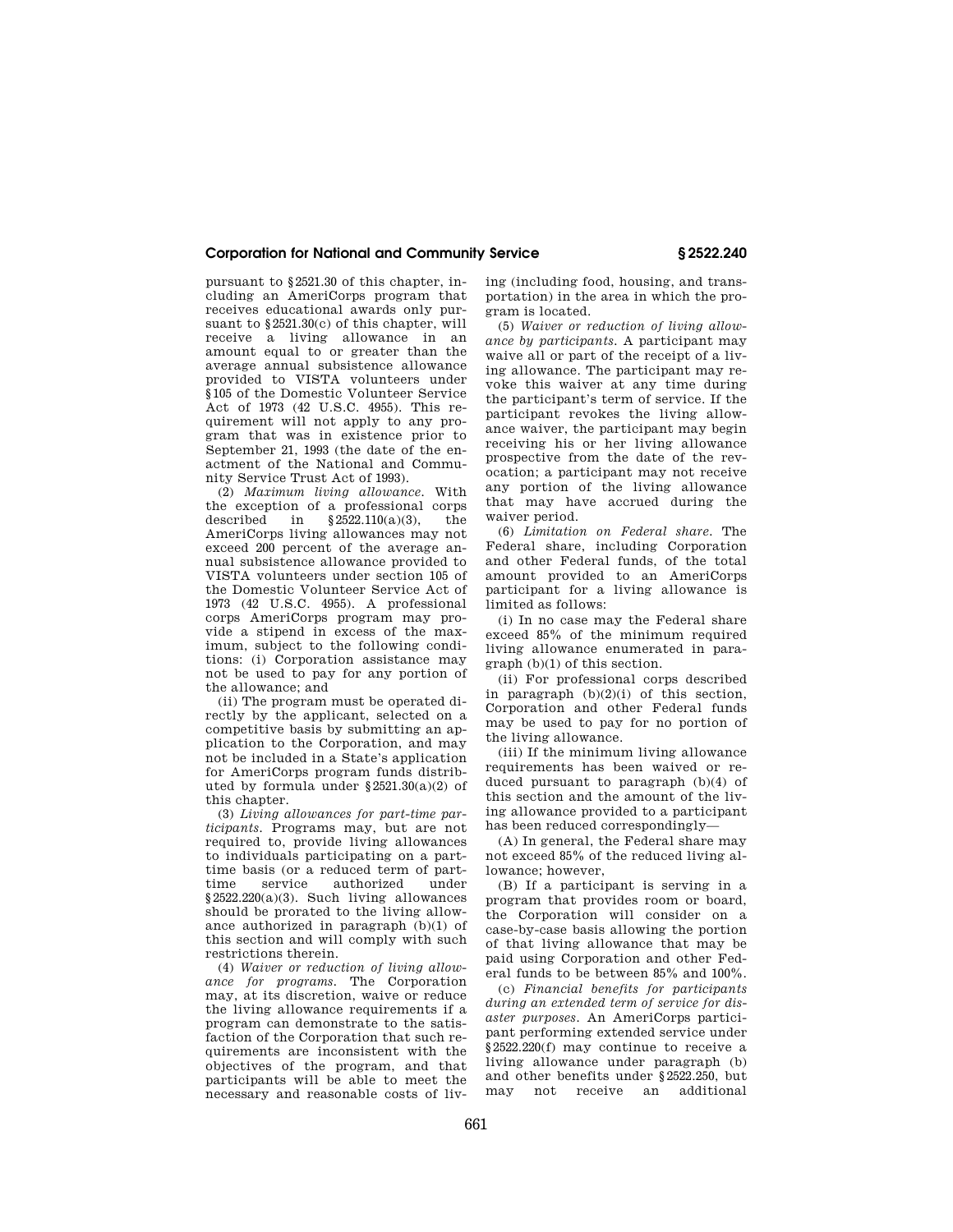# **Corporation for National and Community Service § 2522.240**

pursuant to §2521.30 of this chapter, including an AmeriCorps program that receives educational awards only pursuant to §2521.30(c) of this chapter, will receive a living allowance in an amount equal to or greater than the average annual subsistence allowance provided to VISTA volunteers under §105 of the Domestic Volunteer Service Act of 1973 (42 U.S.C. 4955). This requirement will not apply to any program that was in existence prior to September 21, 1993 (the date of the enactment of the National and Community Service Trust Act of 1993).

(2) *Maximum living allowance.* With the exception of a professional corps<br>described in  $82522110(a)(3)$  the  $§2522.110(a)(3),$  the AmeriCorps living allowances may not exceed 200 percent of the average annual subsistence allowance provided to VISTA volunteers under section 105 of the Domestic Volunteer Service Act of 1973 (42 U.S.C. 4955). A professional corps AmeriCorps program may provide a stipend in excess of the maximum, subject to the following conditions: (i) Corporation assistance may not be used to pay for any portion of the allowance; and

(ii) The program must be operated directly by the applicant, selected on a competitive basis by submitting an application to the Corporation, and may not be included in a State's application for AmeriCorps program funds distributed by formula under §2521.30(a)(2) of this chapter.

(3) *Living allowances for part-time participants.* Programs may, but are not required to, provide living allowances to individuals participating on a parttime basis (or a reduced term of part-<br>time service authorized under time service authorized §2522.220(a)(3). Such living allowances should be prorated to the living allowance authorized in paragraph (b)(1) of this section and will comply with such restrictions therein.

(4) *Waiver or reduction of living allowance for programs.* The Corporation may, at its discretion, waive or reduce the living allowance requirements if a program can demonstrate to the satisfaction of the Corporation that such requirements are inconsistent with the objectives of the program, and that participants will be able to meet the necessary and reasonable costs of living (including food, housing, and transportation) in the area in which the program is located.

(5) *Waiver or reduction of living allowance by participants.* A participant may waive all or part of the receipt of a living allowance. The participant may revoke this waiver at any time during the participant's term of service. If the participant revokes the living allowance waiver, the participant may begin receiving his or her living allowance prospective from the date of the revocation; a participant may not receive any portion of the living allowance that may have accrued during the waiver period.

(6) *Limitation on Federal share.* The Federal share, including Corporation and other Federal funds, of the total amount provided to an AmeriCorps participant for a living allowance is limited as follows:

(i) In no case may the Federal share exceed 85% of the minimum required living allowance enumerated in paragraph (b)(1) of this section.

(ii) For professional corps described in paragraph (b)(2)(i) of this section, Corporation and other Federal funds may be used to pay for no portion of the living allowance.

(iii) If the minimum living allowance requirements has been waived or reduced pursuant to paragraph (b)(4) of this section and the amount of the living allowance provided to a participant has been reduced correspondingly—

(A) In general, the Federal share may not exceed 85% of the reduced living allowance; however,

(B) If a participant is serving in a program that provides room or board, the Corporation will consider on a case-by-case basis allowing the portion of that living allowance that may be paid using Corporation and other Federal funds to be between 85% and 100%.

(c) *Financial benefits for participants during an extended term of service for disaster purposes.* An AmeriCorps participant performing extended service under §2522.220(f) may continue to receive a living allowance under paragraph (b) and other benefits under §2522.250, but may not receive an additional